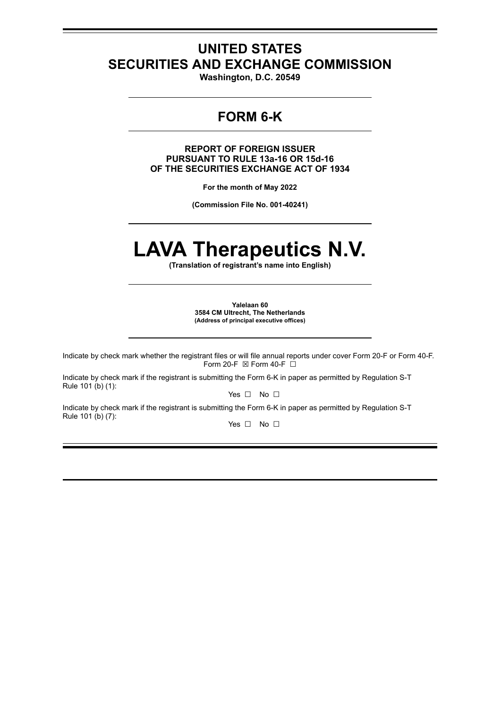## **UNITED STATES SECURITIES AND EXCHANGE COMMISSION**

**Washington, D.C. 20549**

## **FORM 6-K**

**REPORT OF FOREIGN ISSUER PURSUANT TO RULE 13a-16 OR 15d-16 OF THE SECURITIES EXCHANGE ACT OF 1934**

**For the month of May 2022**

**(Commission File No. 001-40241)**

# **LAVA Therapeutics N.V.**

**(Translation of registrant's name into English)**

**Yalelaan 60 3584 CM Ultrecht, The Netherlands (Address of principal executive offices)**

Indicate by check mark whether the registrant files or will file annual reports under cover Form 20-F or Form 40-F. Form 20-F  $\boxtimes$  Form 40-F  $\Box$ 

Indicate by check mark if the registrant is submitting the Form 6-K in paper as permitted by Regulation S-T Rule 101 (b) (1):

Yes □ No □

Indicate by check mark if the registrant is submitting the Form 6-K in paper as permitted by Regulation S-T Rule 101 (b) (7):

Yes □ No □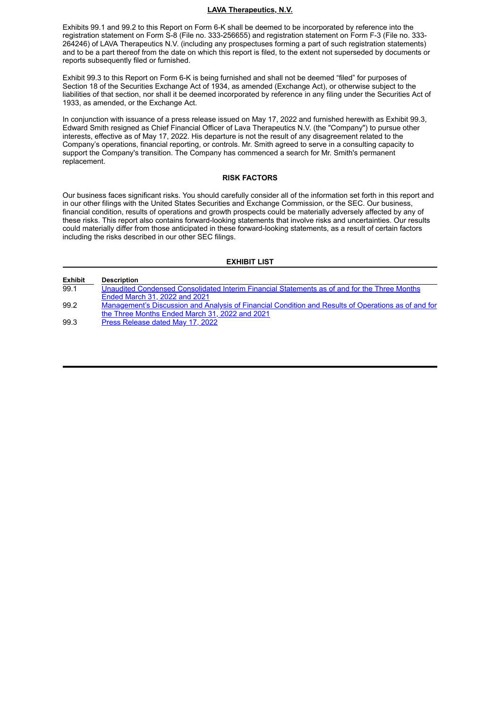#### **LAVA Therapeutics, N.V.**

Exhibits 99.1 and 99.2 to this Report on Form 6-K shall be deemed to be incorporated by reference into the registration statement on Form S-8 (File no. 333-256655) and registration statement on Form F-3 (File no. 333- 264246) of LAVA Therapeutics N.V. (including any prospectuses forming a part of such registration statements) and to be a part thereof from the date on which this report is filed, to the extent not superseded by documents or reports subsequently filed or furnished.

Exhibit 99.3 to this Report on Form 6-K is being furnished and shall not be deemed "filed" for purposes of Section 18 of the Securities Exchange Act of 1934, as amended (Exchange Act), or otherwise subject to the liabilities of that section, nor shall it be deemed incorporated by reference in any filing under the Securities Act of 1933, as amended, or the Exchange Act.

In conjunction with issuance of a press release issued on May 17, 2022 and furnished herewith as Exhibit 99.3, Edward Smith resigned as Chief Financial Officer of Lava Therapeutics N.V. (the "Company") to pursue other interests, effective as of May 17, 2022. His departure is not the result of any disagreement related to the Company's operations, financial reporting, or controls. Mr. Smith agreed to serve in a consulting capacity to support the Company's transition. The Company has commenced a search for Mr. Smith's permanent replacement.

#### **RISK FACTORS**

Our business faces significant risks. You should carefully consider all of the information set forth in this report and in our other filings with the United States Securities and Exchange Commission, or the SEC. Our business, financial condition, results of operations and growth prospects could be materially adversely affected by any of these risks. This report also contains forward-looking statements that involve risks and uncertainties. Our results could materially differ from those anticipated in these forward-looking statements, as a result of certain factors including the risks described in our other SEC filings.

#### **EXHIBIT LIST**

| <b>Exhibit</b> | <b>Description</b>                                                                                  |
|----------------|-----------------------------------------------------------------------------------------------------|
| 99.1           | Unaudited Condensed Consolidated Interim Financial Statements as of and for the Three Months        |
|                | Ended March 31, 2022 and 2021                                                                       |
| 99.2           | Management's Discussion and Analysis of Financial Condition and Results of Operations as of and for |
|                | the Three Months Ended March 31, 2022 and 2021                                                      |
| 99.3           | Press Release dated May 17, 2022                                                                    |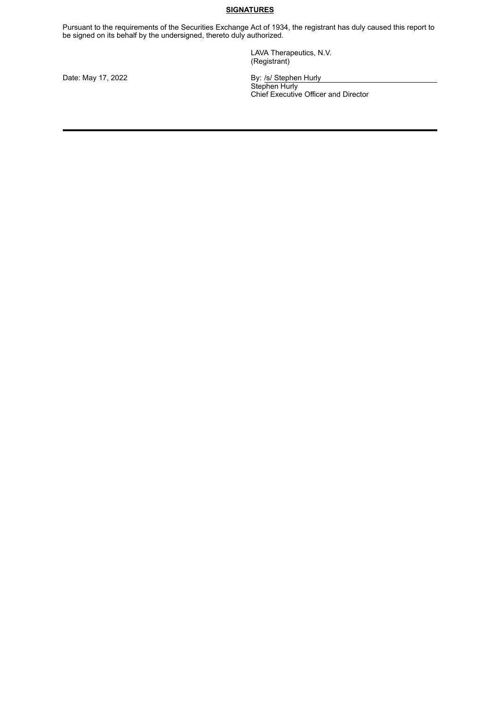#### **SIGNATURES**

Pursuant to the requirements of the Securities Exchange Act of 1934, the registrant has duly caused this report to be signed on its behalf by the undersigned, thereto duly authorized.

> LAVA Therapeutics, N.V. (Registrant)

Date: May 17, 2022 **By: /s/ Stephen Hurly** 

Stephen Hurly Chief Executive Officer and Director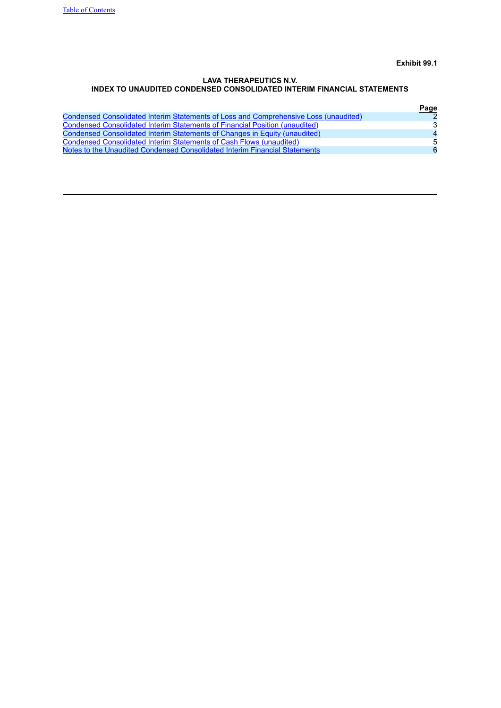**Exhibit 99.1**

#### <span id="page-3-0"></span>**LAVA THERAPEUTICS N.V. INDEX TO UNAUDITED CONDENSED CONSOLIDATED INTERIM FINANCIAL STATEMENTS**

<span id="page-3-1"></span>

|                                                                                      | Page           |
|--------------------------------------------------------------------------------------|----------------|
| Condensed Consolidated Interim Statements of Loss and Comprehensive Loss (unaudited) |                |
| Condensed Consolidated Interim Statements of Financial Position (unaudited)          | 3              |
| Condensed Consolidated Interim Statements of Changes in Equity (unaudited)           | $\overline{4}$ |
| Condensed Consolidated Interim Statements of Cash Flows (unaudited)                  | .5             |
| Notes to the Unaudited Condensed Consolidated Interim Financial Statements           | 6              |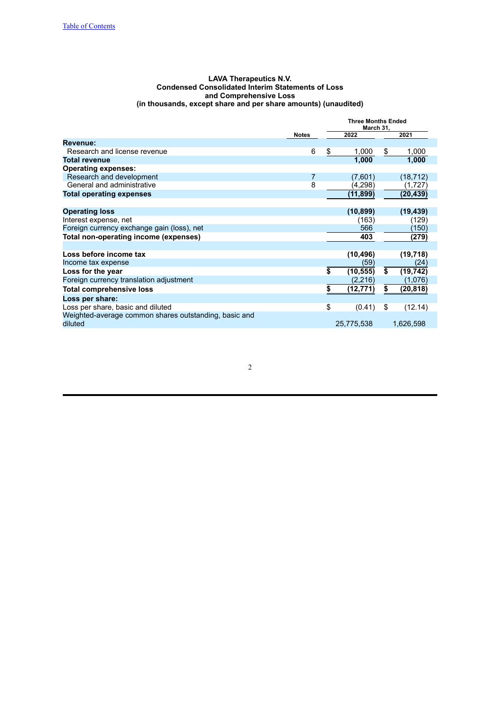#### **LAVA Therapeutics N.V. Condensed Consolidated Interim Statements of Loss and Comprehensive Loss (in thousands, except share and per share amounts) (unaudited)**

<span id="page-4-0"></span>

|                                                       |              |    | <b>Three Months Ended</b> |    |           |
|-------------------------------------------------------|--------------|----|---------------------------|----|-----------|
|                                                       | <b>Notes</b> |    | 2022                      |    | 2021      |
| Revenue:                                              |              |    |                           |    |           |
| Research and license revenue                          | 6            | \$ | 1,000                     | \$ | 1,000     |
| <b>Total revenue</b>                                  |              |    | 1,000                     |    | 1,000     |
| <b>Operating expenses:</b>                            |              |    |                           |    |           |
| Research and development                              | 7            |    | (7,601)                   |    | (18, 712) |
| General and administrative                            | 8            |    | (4,298)                   |    | (1,727)   |
| <b>Total operating expenses</b>                       |              |    | (11,899)                  |    | (20,439)  |
|                                                       |              |    |                           |    |           |
| <b>Operating loss</b>                                 |              |    | (10, 899)                 |    | (19, 439) |
| Interest expense, net                                 |              |    | (163)                     |    | (129)     |
| Foreign currency exchange gain (loss), net            |              |    | 566                       |    | (150)     |
| Total non-operating income (expenses)                 |              |    | 403                       |    | (279)     |
|                                                       |              |    |                           |    |           |
| Loss before income tax                                |              |    | (10, 496)                 |    | (19, 718) |
| Income tax expense                                    |              |    | (59)                      |    | (24)      |
| Loss for the year                                     |              | \$ | (10, 555)                 | \$ | (19, 742) |
| Foreign currency translation adjustment               |              |    | (2,216)                   |    | (1,076)   |
| <b>Total comprehensive loss</b>                       |              | S  | (12, 771)                 | \$ | (20,818)  |
| Loss per share:                                       |              |    |                           |    |           |
| Loss per share, basic and diluted                     |              | \$ | (0.41)                    | \$ | (12.14)   |
| Weighted-average common shares outstanding, basic and |              |    |                           |    |           |
| diluted                                               |              |    | 25,775,538                |    | 1,626,598 |
|                                                       |              |    |                           |    |           |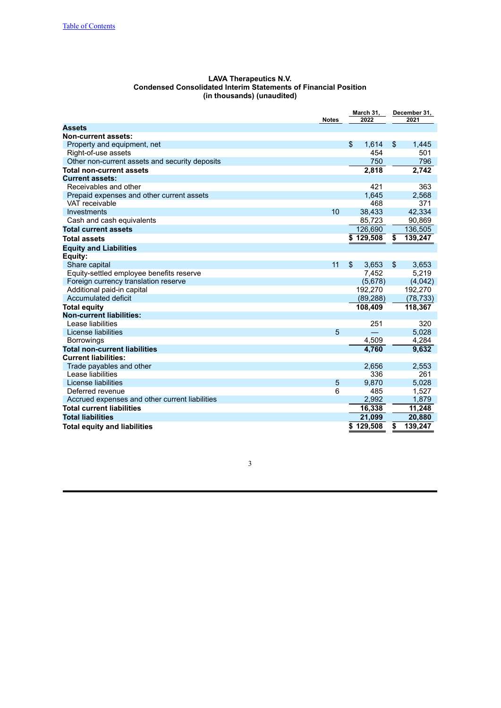| <b>LAVA Therapeutics N.V.</b>                                          |
|------------------------------------------------------------------------|
| <b>Condensed Consolidated Interim Statements of Financial Position</b> |
| (in thousands) (unaudited)                                             |

<span id="page-5-0"></span>

|                                                |              | March 31,     |                         | December 31, |  |
|------------------------------------------------|--------------|---------------|-------------------------|--------------|--|
|                                                | <b>Notes</b> | 2022          |                         | 2021         |  |
| <b>Assets</b>                                  |              |               |                         |              |  |
| <b>Non-current assets:</b>                     |              |               |                         |              |  |
| Property and equipment, net                    |              | \$<br>1.614   | \$                      | 1,445        |  |
| Right-of-use assets                            |              | 454           |                         | 501          |  |
| Other non-current assets and security deposits |              | 750           |                         | 796          |  |
| <b>Total non-current assets</b>                |              | 2,818         |                         | 2,742        |  |
| <b>Current assets:</b>                         |              |               |                         |              |  |
| Receivables and other                          |              | 421           |                         | 363          |  |
| Prepaid expenses and other current assets      |              | 1.645         |                         | 2,568        |  |
| VAT receivable                                 |              | 468           |                         | 371          |  |
| Investments                                    | 10           | 38,433        |                         | 42.334       |  |
| Cash and cash equivalents                      |              | 85,723        |                         | 90,869       |  |
| <b>Total current assets</b>                    |              | 126,690       |                         | 136,505      |  |
| <b>Total assets</b>                            |              | \$129.508     | $\overline{\mathbf{s}}$ | 139,247      |  |
| <b>Equity and Liabilities</b>                  |              |               |                         |              |  |
| Equity:                                        |              |               |                         |              |  |
| Share capital                                  | 11           | \$<br>3,653   | \$                      | 3,653        |  |
| Equity-settled employee benefits reserve       |              | 7,452         |                         | 5,219        |  |
| Foreign currency translation reserve           |              | (5,678)       |                         | (4,042)      |  |
| Additional paid-in capital                     |              | 192,270       |                         | 192,270      |  |
| Accumulated deficit                            |              | (89, 288)     |                         | (78, 733)    |  |
| <b>Total equity</b>                            |              | 108.409       |                         | 118,367      |  |
| <b>Non-current liabilities:</b>                |              |               |                         |              |  |
| Lease liabilities                              |              | 251           |                         | 320          |  |
| License liabilities                            | 5            |               |                         | 5,028        |  |
| <b>Borrowings</b>                              |              | 4,509         |                         | 4,284        |  |
| <b>Total non-current liabilities</b>           |              | 4,760         |                         | 9,632        |  |
| <b>Current liabilities:</b>                    |              |               |                         |              |  |
| Trade payables and other                       |              | 2,656         |                         | 2,553        |  |
| Lease liabilities                              |              | 336           |                         | 261          |  |
| License liabilities                            | 5            | 9,870         |                         | 5,028        |  |
| Deferred revenue                               | 6            | 485           |                         | 1,527        |  |
| Accrued expenses and other current liabilities |              | 2,992         |                         | 1,879        |  |
| <b>Total current liabilities</b>               |              | 16,338        |                         | 11,248       |  |
| <b>Total liabilities</b>                       |              | 21,099        |                         | 20,880       |  |
| <b>Total equity and liabilities</b>            |              | 129,508<br>\$ | \$                      | 139,247      |  |
|                                                |              |               |                         |              |  |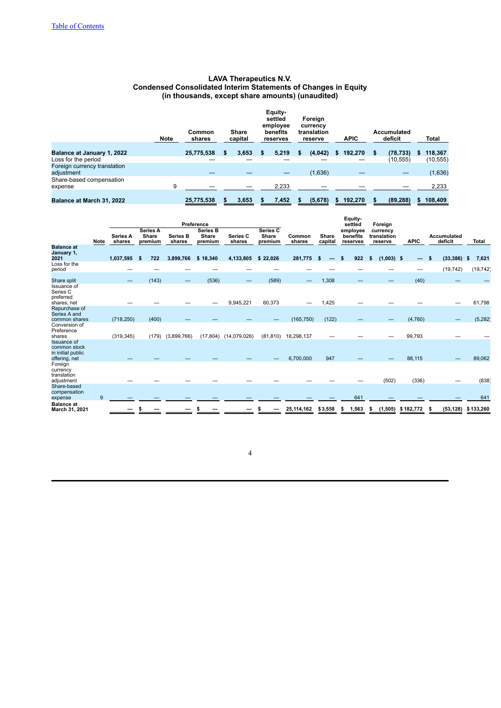#### **LAVA Therapeutics N.V. Condensed Consolidated Interim Statements of Changes in Equity (in thousands, except share amounts) (unaudited)**

<span id="page-6-0"></span>

|                                            | <b>Note</b> | Common<br>shares | Equity-<br>settled<br>Foreign<br>employee<br>currency<br>Share<br>benefits<br>translation<br><b>APIC</b><br>capital<br>reserve<br>reserves |       |     | Accumulated<br>deficit |         | Total |         |   |           |   |           |
|--------------------------------------------|-------------|------------------|--------------------------------------------------------------------------------------------------------------------------------------------|-------|-----|------------------------|---------|-------|---------|---|-----------|---|-----------|
| Balance at January 1, 2022                 |             | 25,775,538       | \$                                                                                                                                         | 3.653 | \$. | 5,219                  | (4,042) | s.    | 192,270 | S | (78, 733) | S | 118,367   |
| Loss for the period                        |             |                  |                                                                                                                                            |       |     |                        |         |       |         |   | (10, 555) |   | (10, 555) |
| Foreign currency translation<br>adjustment |             |                  |                                                                                                                                            |       |     |                        | (1,636) |       |         |   |           |   | (1,636)   |
| Share-based compensation<br>expense        | 9           |                  |                                                                                                                                            |       |     | 2,233                  |         |       |         |   |           |   | 2,233     |
| Balance at March 31, 2022                  |             | 25,775,538       |                                                                                                                                            | 3,653 |     | 7,452                  | (5,678) |       | 192,270 |   | (89, 288) |   | 108,409   |

|                                                         |      |                           |                                     |                           | Preference                          |                    |                              |                  |                  | Equity-<br>settled               | Foreign                            |             |                        |                  |
|---------------------------------------------------------|------|---------------------------|-------------------------------------|---------------------------|-------------------------------------|--------------------|------------------------------|------------------|------------------|----------------------------------|------------------------------------|-------------|------------------------|------------------|
|                                                         | Note | <b>Series A</b><br>shares | <b>Series A</b><br>Share<br>premium | <b>Series B</b><br>shares | <b>Series B</b><br>Share<br>premium | Series C<br>shares | Series C<br>Share<br>premium | Common<br>shares | Share<br>capital | employee<br>benefits<br>reserves | currency<br>translation<br>reserve | <b>APIC</b> | Accumulated<br>deficit | Total            |
| <b>Balance at</b><br>January 1,<br>2021                 |      | 1,037,595                 | 722<br>S                            | 3,899,766                 | \$18,340                            | 4,133,805          | \$22,026                     | 281,775          | - 5              | 922<br>S                         | $(1,003)$ \$<br>S.                 | -           | (33, 386)<br>S         | 7,621<br>- 5     |
| Loss for the<br>period                                  |      |                           |                                     |                           |                                     |                    |                              |                  |                  |                                  |                                    |             | (19, 742)              | (19, 742)        |
| Share split                                             |      |                           | (143)                               |                           | (536)                               |                    | (589)                        |                  | 1,308            |                                  |                                    | (40)        |                        |                  |
| Issuance of<br>Series C<br>preferred<br>shares, net     |      |                           |                                     |                           |                                     | 9,945,221          | 60,373                       |                  | 1,425            |                                  |                                    |             |                        | 61,798           |
| Repurchase of<br>Series A and<br>common shares          |      | (718, 250)                | (400)                               |                           |                                     |                    |                              | (165, 750)       | (122)            |                                  |                                    | (4,760)     |                        | (5, 282)         |
| Conversion of<br>Preference<br>shares                   |      | (319, 345)                | (179)                               | (3,899,766)               | (17, 804)                           | (14,079,026)       | (81, 810)                    | 18,298,137       |                  |                                  |                                    | 99,793      |                        |                  |
| <b>Issuance of</b><br>common stock<br>in initial public |      |                           |                                     |                           |                                     |                    |                              |                  |                  |                                  |                                    |             |                        |                  |
| offering, net<br>Foreign<br>currency<br>translation     |      |                           |                                     |                           |                                     |                    |                              | 6,700,000        | 947              |                                  |                                    | 88,115      |                        | 89,062           |
| adjustment<br>Share-based<br>compensation               |      |                           |                                     |                           |                                     |                    |                              |                  |                  |                                  | (502)                              | (336)       |                        | (838)            |
| expense<br><b>Balance</b> at<br>March 31, 2021          | 9    |                           |                                     |                           |                                     |                    |                              | 25,114,162       | \$3,558          | 641<br>1,563                     | (1, 505)                           | \$182,772   | (53, 128)              | 641<br>\$133,260 |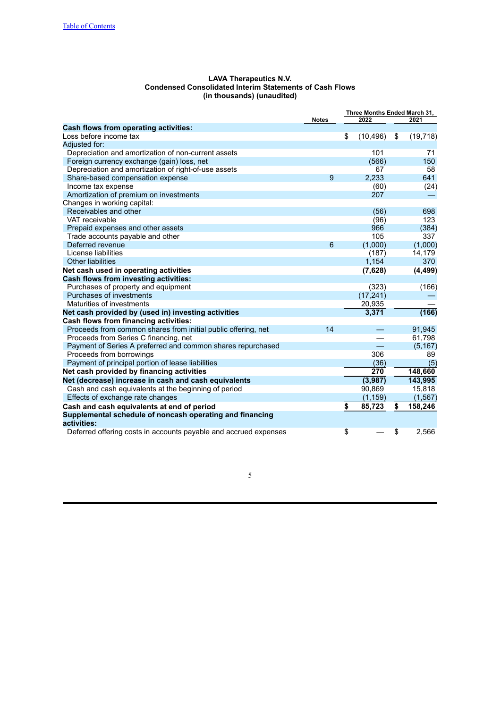<span id="page-7-0"></span>

| <b>LAVA Therapeutics N.V.</b>                           |
|---------------------------------------------------------|
| Condensed Consolidated Interim Statements of Cash Flows |
| (in thousands) (unaudited)                              |

|                                                                         |              | Three Months Ended March 31, |    |           |
|-------------------------------------------------------------------------|--------------|------------------------------|----|-----------|
|                                                                         | <b>Notes</b> | 2022                         |    | 2021      |
| <b>Cash flows from operating activities:</b>                            |              |                              |    |           |
| Loss before income tax                                                  |              | \$<br>(10, 496)              | \$ | (19, 718) |
| Adjusted for:                                                           |              |                              |    |           |
| Depreciation and amortization of non-current assets                     |              | 101                          |    | 71        |
| Foreign currency exchange (gain) loss, net                              |              | (566)                        |    | 150       |
| Depreciation and amortization of right-of-use assets                    |              | 67                           |    | 58        |
| Share-based compensation expense                                        | 9            | 2.233                        |    | 641       |
| Income tax expense                                                      |              | (60)                         |    | (24)      |
| Amortization of premium on investments                                  |              | 207                          |    |           |
| Changes in working capital:                                             |              |                              |    |           |
| Receivables and other                                                   |              | (56)                         |    | 698       |
| VAT receivable                                                          |              | (96)                         |    | 123       |
| Prepaid expenses and other assets                                       |              | 966                          |    | (384)     |
| Trade accounts payable and other                                        |              | 105                          |    | 337       |
| Deferred revenue                                                        | 6            | (1,000)                      |    | (1,000)   |
| License liabilities                                                     |              | (187)                        |    | 14,179    |
| <b>Other liabilities</b>                                                |              | 1,154                        |    | 370       |
| Net cash used in operating activities                                   |              | (7,628)                      |    | (4, 499)  |
| Cash flows from investing activities:                                   |              |                              |    |           |
| Purchases of property and equipment                                     |              | (323)                        |    | (166)     |
| Purchases of investments                                                |              | (17, 241)                    |    |           |
| Maturities of investments                                               |              | 20,935                       |    |           |
| Net cash provided by (used in) investing activities                     |              | 3,371                        |    | (166)     |
| Cash flows from financing activities:                                   |              |                              |    |           |
| Proceeds from common shares from initial public offering, net           | 14           |                              |    | 91,945    |
| Proceeds from Series C financing, net                                   |              |                              |    | 61,798    |
| Payment of Series A preferred and common shares repurchased             |              |                              |    | (5, 167)  |
| Proceeds from borrowings                                                |              | 306                          |    | 89        |
| Payment of principal portion of lease liabilities                       |              | (36)                         |    | (5)       |
| Net cash provided by financing activities                               |              | 270                          |    | 148,660   |
| Net (decrease) increase in cash and cash equivalents                    |              | (3,987)                      |    | 143,995   |
| Cash and cash equivalents at the beginning of period                    |              | 90,869                       |    | 15,818    |
| Effects of exchange rate changes                                        |              | (1, 159)                     |    | (1, 567)  |
| Cash and cash equivalents at end of period                              |              | \$<br>85,723                 | \$ | 158,246   |
| Supplemental schedule of noncash operating and financing<br>activities: |              |                              |    |           |
| Deferred offering costs in accounts payable and accrued expenses        |              | \$                           | \$ | 2,566     |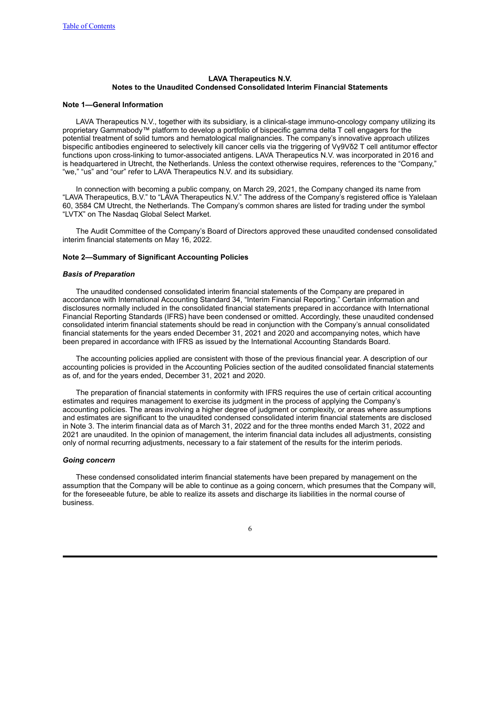#### <span id="page-8-0"></span>**LAVA Therapeutics N.V. Notes to the Unaudited Condensed Consolidated Interim Financial Statements**

#### **Note 1—General Information**

LAVA Therapeutics N.V., together with its subsidiary, is a clinical-stage immuno-oncology company utilizing its proprietary Gammabody™ platform to develop a portfolio of bispecific gamma delta T cell engagers for the potential treatment of solid tumors and hematological malignancies. The company's innovative approach utilizes bispecific antibodies engineered to selectively kill cancer cells via the triggering of Vγ9Vδ2 T cell antitumor effector functions upon cross-linking to tumor-associated antigens. LAVA Therapeutics N.V. was incorporated in 2016 and is headquartered in Utrecht, the Netherlands. Unless the context otherwise requires, references to the "Company," "we," "us" and "our" refer to LAVA Therapeutics N.V. and its subsidiary.

In connection with becoming a public company, on March 29, 2021, the Company changed its name from "LAVA Therapeutics, B.V." to "LAVA Therapeutics N.V." The address of the Company's registered office is Yalelaan 60, 3584 CM Utrecht, the Netherlands. The Company's common shares are listed for trading under the symbol "LVTX" on The Nasdaq Global Select Market.

The Audit Committee of the Company's Board of Directors approved these unaudited condensed consolidated interim financial statements on May 16, 2022.

#### **Note 2—Summary of Significant Accounting Policies**

#### *Basis of Preparation*

The unaudited condensed consolidated interim financial statements of the Company are prepared in accordance with International Accounting Standard 34, "Interim Financial Reporting." Certain information and disclosures normally included in the consolidated financial statements prepared in accordance with International Financial Reporting Standards (IFRS) have been condensed or omitted. Accordingly, these unaudited condensed consolidated interim financial statements should be read in conjunction with the Company's annual consolidated financial statements for the years ended December 31, 2021 and 2020 and accompanying notes, which have been prepared in accordance with IFRS as issued by the International Accounting Standards Board.

The accounting policies applied are consistent with those of the previous financial year. A description of our accounting policies is provided in the Accounting Policies section of the audited consolidated financial statements as of, and for the years ended, December 31, 2021 and 2020.

The preparation of financial statements in conformity with IFRS requires the use of certain critical accounting estimates and requires management to exercise its judgment in the process of applying the Company's accounting policies. The areas involving a higher degree of judgment or complexity, or areas where assumptions and estimates are significant to the unaudited condensed consolidated interim financial statements are disclosed in Note 3. The interim financial data as of March 31, 2022 and for the three months ended March 31, 2022 and 2021 are unaudited. In the opinion of management, the interim financial data includes all adjustments, consisting only of normal recurring adjustments, necessary to a fair statement of the results for the interim periods.

#### *Going concern*

These condensed consolidated interim financial statements have been prepared by management on the assumption that the Company will be able to continue as a going concern, which presumes that the Company will, for the foreseeable future, be able to realize its assets and discharge its liabilities in the normal course of business.

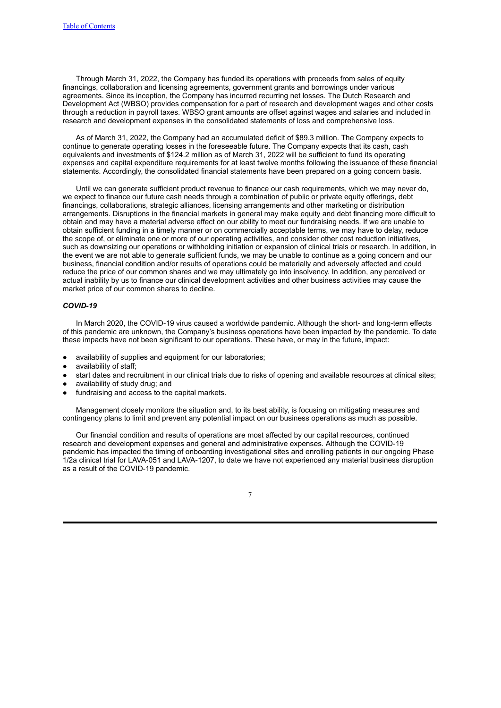Through March 31, 2022, the Company has funded its operations with proceeds from sales of equity financings, collaboration and licensing agreements, government grants and borrowings under various agreements. Since its inception, the Company has incurred recurring net losses. The Dutch Research and Development Act (WBSO) provides compensation for a part of research and development wages and other costs through a reduction in payroll taxes. WBSO grant amounts are offset against wages and salaries and included in research and development expenses in the consolidated statements of loss and comprehensive loss.

As of March 31, 2022, the Company had an accumulated deficit of \$89.3 million. The Company expects to continue to generate operating losses in the foreseeable future. The Company expects that its cash, cash equivalents and investments of \$124.2 million as of March 31, 2022 will be sufficient to fund its operating expenses and capital expenditure requirements for at least twelve months following the issuance of these financial statements. Accordingly, the consolidated financial statements have been prepared on a going concern basis.

Until we can generate sufficient product revenue to finance our cash requirements, which we may never do, we expect to finance our future cash needs through a combination of public or private equity offerings, debt financings, collaborations, strategic alliances, licensing arrangements and other marketing or distribution arrangements. Disruptions in the financial markets in general may make equity and debt financing more difficult to obtain and may have a material adverse effect on our ability to meet our fundraising needs. If we are unable to obtain sufficient funding in a timely manner or on commercially acceptable terms, we may have to delay, reduce the scope of, or eliminate one or more of our operating activities, and consider other cost reduction initiatives, such as downsizing our operations or withholding initiation or expansion of clinical trials or research. In addition, in the event we are not able to generate sufficient funds, we may be unable to continue as a going concern and our business, financial condition and/or results of operations could be materially and adversely affected and could reduce the price of our common shares and we may ultimately go into insolvency. In addition, any perceived or actual inability by us to finance our clinical development activities and other business activities may cause the market price of our common shares to decline.

#### *COVID-19*

In March 2020, the COVID-19 virus caused a worldwide pandemic. Although the short- and long-term effects of this pandemic are unknown, the Company's business operations have been impacted by the pandemic. To date these impacts have not been significant to our operations. These have, or may in the future, impact:

- availability of supplies and equipment for our laboratories;
- availability of staff;
- start dates and recruitment in our clinical trials due to risks of opening and available resources at clinical sites;
- availability of study drug; and
- fundraising and access to the capital markets.

Management closely monitors the situation and, to its best ability, is focusing on mitigating measures and contingency plans to limit and prevent any potential impact on our business operations as much as possible.

Our financial condition and results of operations are most affected by our capital resources, continued research and development expenses and general and administrative expenses. Although the COVID-19 pandemic has impacted the timing of onboarding investigational sites and enrolling patients in our ongoing Phase 1/2a clinical trial for LAVA-051 and LAVA-1207, to date we have not experienced any material business disruption as a result of the COVID-19 pandemic.

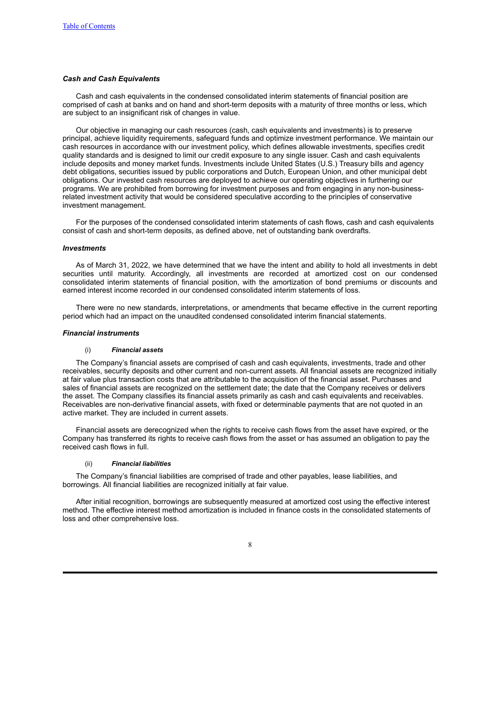#### *Cash and Cash Equivalents*

Cash and cash equivalents in the condensed consolidated interim statements of financial position are comprised of cash at banks and on hand and short-term deposits with a maturity of three months or less, which are subject to an insignificant risk of changes in value.

Our objective in managing our cash resources (cash, cash equivalents and investments) is to preserve principal, achieve liquidity requirements, safeguard funds and optimize investment performance. We maintain our cash resources in accordance with our investment policy, which defines allowable investments, specifies credit quality standards and is designed to limit our credit exposure to any single issuer. Cash and cash equivalents include deposits and money market funds. Investments include United States (U.S.) Treasury bills and agency debt obligations, securities issued by public corporations and Dutch, European Union, and other municipal debt obligations. Our invested cash resources are deployed to achieve our operating objectives in furthering our programs. We are prohibited from borrowing for investment purposes and from engaging in any non-businessrelated investment activity that would be considered speculative according to the principles of conservative investment management.

For the purposes of the condensed consolidated interim statements of cash flows, cash and cash equivalents consist of cash and short-term deposits, as defined above, net of outstanding bank overdrafts.

#### *Investments*

As of March 31, 2022, we have determined that we have the intent and ability to hold all investments in debt securities until maturity. Accordingly, all investments are recorded at amortized cost on our condensed consolidated interim statements of financial position, with the amortization of bond premiums or discounts and earned interest income recorded in our condensed consolidated interim statements of loss.

There were no new standards, interpretations, or amendments that became effective in the current reporting period which had an impact on the unaudited condensed consolidated interim financial statements.

#### *Financial instruments*

#### (i) *Financial assets*

The Company's financial assets are comprised of cash and cash equivalents, investments, trade and other receivables, security deposits and other current and non-current assets. All financial assets are recognized initially at fair value plus transaction costs that are attributable to the acquisition of the financial asset. Purchases and sales of financial assets are recognized on the settlement date; the date that the Company receives or delivers the asset. The Company classifies its financial assets primarily as cash and cash equivalents and receivables. Receivables are non-derivative financial assets, with fixed or determinable payments that are not quoted in an active market. They are included in current assets.

Financial assets are derecognized when the rights to receive cash flows from the asset have expired, or the Company has transferred its rights to receive cash flows from the asset or has assumed an obligation to pay the received cash flows in full.

#### (ii) *Financial liabilities*

The Company's financial liabilities are comprised of trade and other payables, lease liabilities, and borrowings. All financial liabilities are recognized initially at fair value.

After initial recognition, borrowings are subsequently measured at amortized cost using the effective interest method. The effective interest method amortization is included in finance costs in the consolidated statements of loss and other comprehensive loss.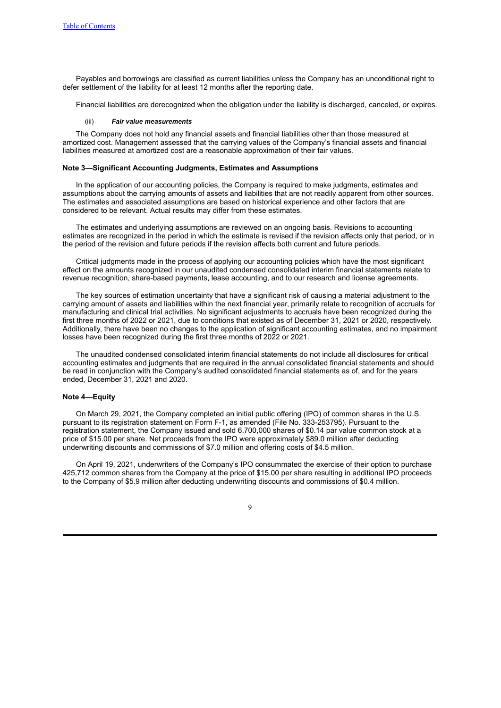Payables and borrowings are classified as current liabilities unless the Company has an unconditional right to defer settlement of the liability for at least 12 months after the reporting date.

Financial liabilities are derecognized when the obligation under the liability is discharged, canceled, or expires.

#### (iii) *Fair value measurements*

The Company does not hold any financial assets and financial liabilities other than those measured at amortized cost. Management assessed that the carrying values of the Company's financial assets and financial liabilities measured at amortized cost are a reasonable approximation of their fair values.

#### **Note 3—Significant Accounting Judgments, Estimates and Assumptions**

In the application of our accounting policies, the Company is required to make judgments, estimates and assumptions about the carrying amounts of assets and liabilities that are not readily apparent from other sources. The estimates and associated assumptions are based on historical experience and other factors that are considered to be relevant. Actual results may differ from these estimates.

The estimates and underlying assumptions are reviewed on an ongoing basis. Revisions to accounting estimates are recognized in the period in which the estimate is revised if the revision affects only that period, or in the period of the revision and future periods if the revision affects both current and future periods.

Critical judgments made in the process of applying our accounting policies which have the most significant effect on the amounts recognized in our unaudited condensed consolidated interim financial statements relate to revenue recognition, share-based payments, lease accounting, and to our research and license agreements.

The key sources of estimation uncertainty that have a significant risk of causing a material adjustment to the carrying amount of assets and liabilities within the next financial year, primarily relate to recognition of accruals for manufacturing and clinical trial activities. No significant adjustments to accruals have been recognized during the first three months of 2022 or 2021, due to conditions that existed as of December 31, 2021 or 2020, respectively. Additionally, there have been no changes to the application of significant accounting estimates, and no impairment losses have been recognized during the first three months of 2022 or 2021.

The unaudited condensed consolidated interim financial statements do not include all disclosures for critical accounting estimates and judgments that are required in the annual consolidated financial statements and should be read in conjunction with the Company's audited consolidated financial statements as of, and for the years ended, December 31, 2021 and 2020.

#### **Note 4—Equity**

On March 29, 2021, the Company completed an initial public offering (IPO) of common shares in the U.S. pursuant to its registration statement on Form F-1, as amended (File No. 333-253795). Pursuant to the registration statement, the Company issued and sold 6,700,000 shares of \$0.14 par value common stock at a price of \$15.00 per share. Net proceeds from the IPO were approximately \$89.0 million after deducting underwriting discounts and commissions of \$7.0 million and offering costs of \$4.5 million.

On April 19, 2021, underwriters of the Company's IPO consummated the exercise of their option to purchase 425,712 common shares from the Company at the price of \$15.00 per share resulting in additional IPO proceeds to the Company of \$5.9 million after deducting underwriting discounts and commissions of \$0.4 million.

<sup>9</sup>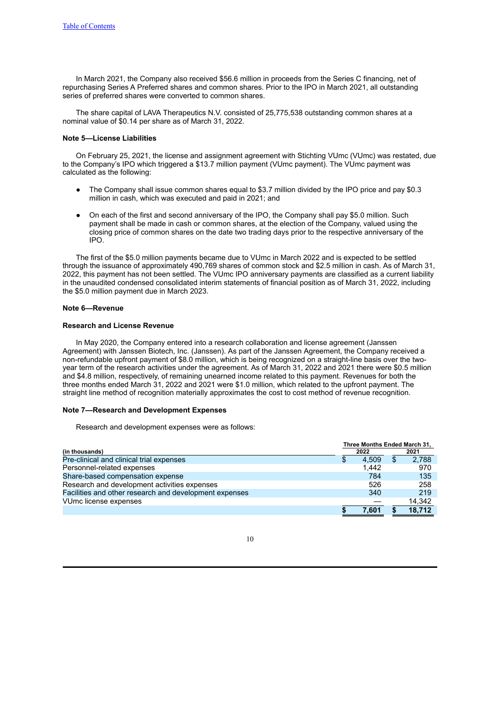In March 2021, the Company also received \$56.6 million in proceeds from the Series C financing, net of repurchasing Series A Preferred shares and common shares. Prior to the IPO in March 2021, all outstanding series of preferred shares were converted to common shares.

The share capital of LAVA Therapeutics N.V. consisted of 25,775,538 outstanding common shares at a nominal value of \$0.14 per share as of March 31, 2022.

#### **Note 5—License Liabilities**

On February 25, 2021, the license and assignment agreement with Stichting VUmc (VUmc) was restated, due to the Company's IPO which triggered a \$13.7 million payment (VUmc payment). The VUmc payment was calculated as the following:

- The Company shall issue common shares equal to \$3.7 million divided by the IPO price and pay \$0.3 million in cash, which was executed and paid in 2021; and
- On each of the first and second anniversary of the IPO, the Company shall pay \$5.0 million. Such payment shall be made in cash or common shares, at the election of the Company, valued using the closing price of common shares on the date two trading days prior to the respective anniversary of the IPO.

The first of the \$5.0 million payments became due to VUmc in March 2022 and is expected to be settled through the issuance of approximately 490,769 shares of common stock and \$2.5 million in cash. As of March 31, 2022, this payment has not been settled. The VUmc IPO anniversary payments are classified as a current liability in the unaudited condensed consolidated interim statements of financial position as of March 31, 2022, including the \$5.0 million payment due in March 2023.

#### **Note 6—Revenue**

#### **Research and License Revenue**

In May 2020, the Company entered into a research collaboration and license agreement (Janssen Agreement) with Janssen Biotech, Inc. (Janssen). As part of the Janssen Agreement, the Company received a non-refundable upfront payment of \$8.0 million, which is being recognized on a straight-line basis over the twoyear term of the research activities under the agreement. As of March 31, 2022 and 2021 there were \$0.5 million and \$4.8 million, respectively, of remaining unearned income related to this payment. Revenues for both the three months ended March 31, 2022 and 2021 were \$1.0 million, which related to the upfront payment. The straight line method of recognition materially approximates the cost to cost method of revenue recognition.

#### **Note 7—Research and Development Expenses**

Research and development expenses were as follows:

|                                                        | Three Months Ended March 31. |       |    |        |  |  |
|--------------------------------------------------------|------------------------------|-------|----|--------|--|--|
| (in thousands)                                         |                              | 2022  |    | 2021   |  |  |
| Pre-clinical and clinical trial expenses               | \$                           | 4.509 | \$ | 2,788  |  |  |
| Personnel-related expenses                             |                              | 1.442 |    | 970    |  |  |
| Share-based compensation expense                       |                              | 784   |    | 135    |  |  |
| Research and development activities expenses           |                              | 526   |    | 258    |  |  |
| Facilities and other research and development expenses |                              | 340   |    | 219    |  |  |
| VUmc license expenses                                  |                              |       |    | 14.342 |  |  |
|                                                        |                              | 7.601 |    | 18.712 |  |  |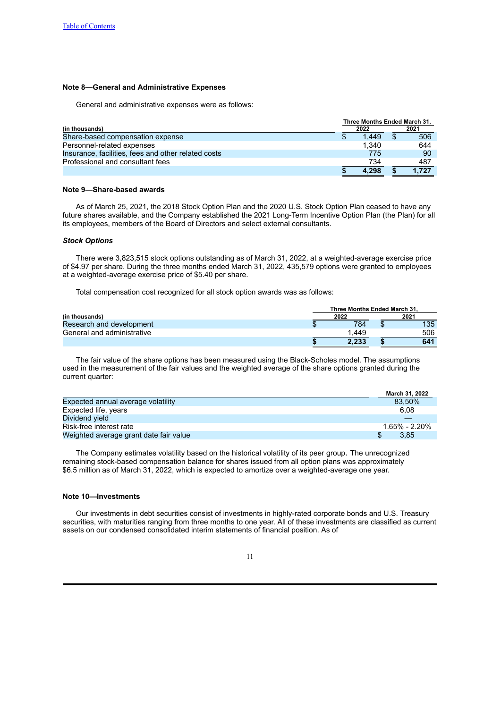#### **Note 8—General and Administrative Expenses**

General and administrative expenses were as follows:

|                                                     | Three Months Ended March 31, |       |  |       |  |
|-----------------------------------------------------|------------------------------|-------|--|-------|--|
| (in thousands)                                      |                              | 2022  |  | 2021  |  |
| Share-based compensation expense                    | Ъ                            | 1.449 |  | 506   |  |
| Personnel-related expenses                          |                              | 1.340 |  | 644   |  |
| Insurance, facilities, fees and other related costs |                              | 775   |  | -90   |  |
| Professional and consultant fees                    |                              | 734   |  | 487   |  |
|                                                     |                              | 4.298 |  | 1.727 |  |

#### **Note 9—Share-based awards**

As of March 25, 2021, the 2018 Stock Option Plan and the 2020 U.S. Stock Option Plan ceased to have any future shares available, and the Company established the 2021 Long-Term Incentive Option Plan (the Plan) for all its employees, members of the Board of Directors and select external consultants.

#### *Stock Options*

There were 3,823,515 stock options outstanding as of March 31, 2022, at a weighted-average exercise price of \$4.97 per share. During the three months ended March 31, 2022, 435,579 options were granted to employees at a weighted-average exercise price of \$5.40 per share.

Total compensation cost recognized for all stock option awards was as follows:

|                            | Three Months Ended March 31. |  |     |  |
|----------------------------|------------------------------|--|-----|--|
| (in thousands)             | 2022                         |  |     |  |
| Research and development   | 784                          |  | 135 |  |
| General and administrative | 449. ا                       |  | 506 |  |
|                            | 2.233                        |  | 641 |  |

The fair value of the share options has been measured using the Black-Scholes model. The assumptions used in the measurement of the fair values and the weighted average of the share options granted during the current quarter:

|                                        | March 31, 2022 |  |
|----------------------------------------|----------------|--|
| Expected annual average volatility     | 83.50%         |  |
| Expected life, years                   | 6.08           |  |
| Dividend yield                         |                |  |
| Risk-free interest rate                | 1.65% - 2.20%  |  |
| Weighted average grant date fair value | 3.85           |  |

The Company estimates volatility based on the historical volatility of its peer group. The unrecognized remaining stock-based compensation balance for shares issued from all option plans was approximately \$6.5 million as of March 31, 2022, which is expected to amortize over a weighted-average one year.

#### **Note 10—Investments**

Our investments in debt securities consist of investments in highly-rated corporate bonds and U.S. Treasury securities, with maturities ranging from three months to one year. All of these investments are classified as current assets on our condensed consolidated interim statements of financial position. As of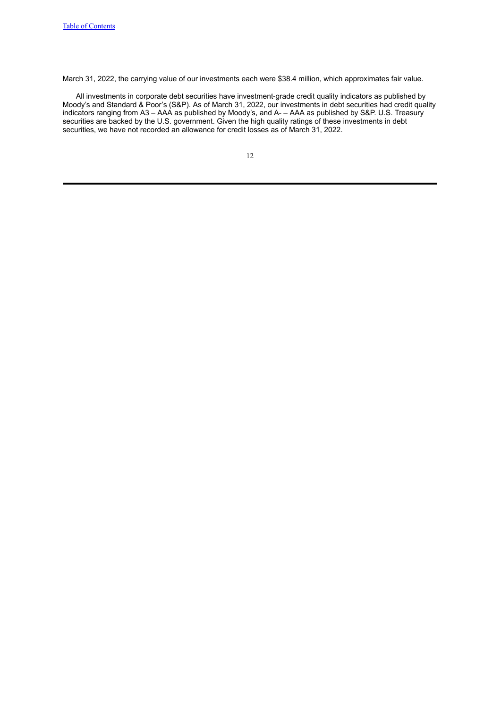March 31, 2022, the carrying value of our investments each were \$38.4 million, which approximates fair value.

All investments in corporate debt securities have investment-grade credit quality indicators as published by Moody's and Standard & Poor's (S&P). As of March 31, 2022, our investments in debt securities had credit quality indicators ranging from A3 – AAA as published by Moody's, and A- – AAA as published by S&P. U.S. Treasury securities are backed by the U.S. government. Given the high quality ratings of these investments in debt securities, we have not recorded an allowance for credit losses as of March 31, 2022.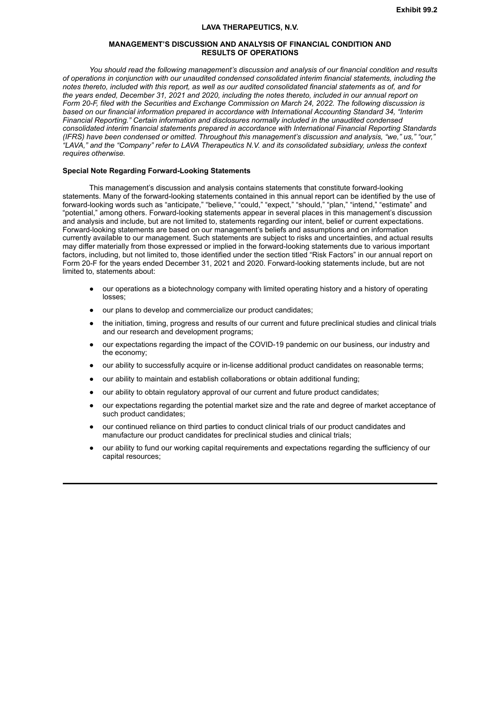#### **LAVA THERAPEUTICS, N.V.**

#### **MANAGEMENT'S DISCUSSION AND ANALYSIS OF FINANCIAL CONDITION AND RESULTS OF OPERATIONS**

<span id="page-15-0"></span>*You should read the following management's discussion and analysis of our financial condition and results of operations in conjunction with our unaudited condensed consolidated interim financial statements, including the* notes thereto, included with this report, as well as our audited consolidated financial statements as of, and for the years ended, December 31, 2021 and 2020, including the notes thereto, included in our annual report on Form 20-F, filed with the Securities and Exchange Commission on March 24, 2022. The following discussion is *based on our financial information prepared in accordance with International Accounting Standard 34, "Interim Financial Reporting." Certain information and disclosures normally included in the unaudited condensed consolidated interim financial statements prepared in accordance with International Financial Reporting Standards (IFRS) have been condensed or omitted. Throughout this management's discussion and analysis, "we," us," "our," "LAVA," and the "Company" refer to LAVA Therapeutics N.V. and its consolidated subsidiary, unless the context requires otherwise.*

#### **Special Note Regarding Forward-Looking Statements**

This management's discussion and analysis contains statements that constitute forward-looking statements. Many of the forward-looking statements contained in this annual report can be identified by the use of forward-looking words such as "anticipate," "believe," "could," "expect," "should," "plan," "intend," "estimate" and "potential," among others. Forward-looking statements appear in several places in this management's discussion and analysis and include, but are not limited to, statements regarding our intent, belief or current expectations. Forward-looking statements are based on our management's beliefs and assumptions and on information currently available to our management. Such statements are subject to risks and uncertainties, and actual results may differ materially from those expressed or implied in the forward-looking statements due to various important factors, including, but not limited to, those identified under the section titled "Risk Factors" in our annual report on Form 20-F for the years ended December 31, 2021 and 2020. Forward-looking statements include, but are not limited to, statements about:

- our operations as a biotechnology company with limited operating history and a history of operating losses;
- our plans to develop and commercialize our product candidates;
- the initiation, timing, progress and results of our current and future preclinical studies and clinical trials and our research and development programs;
- our expectations regarding the impact of the COVID-19 pandemic on our business, our industry and the economy;
- our ability to successfully acquire or in-license additional product candidates on reasonable terms;
- our ability to maintain and establish collaborations or obtain additional funding;
- our ability to obtain regulatory approval of our current and future product candidates;
- our expectations regarding the potential market size and the rate and degree of market acceptance of such product candidates;
- our continued reliance on third parties to conduct clinical trials of our product candidates and manufacture our product candidates for preclinical studies and clinical trials;
- our ability to fund our working capital requirements and expectations regarding the sufficiency of our capital resources;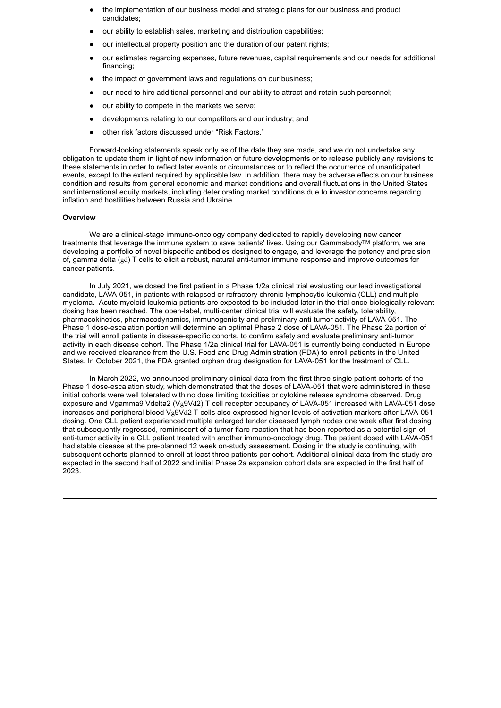- the implementation of our business model and strategic plans for our business and product candidates;
- our ability to establish sales, marketing and distribution capabilities;
- our intellectual property position and the duration of our patent rights;
- our estimates regarding expenses, future revenues, capital requirements and our needs for additional financing;
- the impact of government laws and regulations on our business;
- our need to hire additional personnel and our ability to attract and retain such personnel;
- our ability to compete in the markets we serve;
- developments relating to our competitors and our industry; and
- other risk factors discussed under "Risk Factors."

Forward-looking statements speak only as of the date they are made, and we do not undertake any obligation to update them in light of new information or future developments or to release publicly any revisions to these statements in order to reflect later events or circumstances or to reflect the occurrence of unanticipated events, except to the extent required by applicable law. In addition, there may be adverse effects on our business condition and results from general economic and market conditions and overall fluctuations in the United States and international equity markets, including deteriorating market conditions due to investor concerns regarding inflation and hostilities between Russia and Ukraine.

#### **Overview**

We are a clinical-stage immuno-oncology company dedicated to rapidly developing new cancer treatments that leverage the immune system to save patients' lives. Using our GammabodyTM platform, we are developing a portfolio of novel bispecific antibodies designed to engage, and leverage the potency and precision of, gamma delta (gd) T cells to elicit a robust, natural anti-tumor immune response and improve outcomes for cancer patients.

In July 2021, we dosed the first patient in a Phase 1/2a clinical trial evaluating our lead investigational candidate, LAVA-051, in patients with relapsed or refractory chronic lymphocytic leukemia (CLL) and multiple myeloma. Acute myeloid leukemia patients are expected to be included later in the trial once biologically relevant dosing has been reached. The open-label, multi-center clinical trial will evaluate the safety, tolerability, pharmacokinetics, pharmacodynamics, immunogenicity and preliminary anti-tumor activity of LAVA-051. The Phase 1 dose-escalation portion will determine an optimal Phase 2 dose of LAVA-051. The Phase 2a portion of the trial will enroll patients in disease-specific cohorts, to confirm safety and evaluate preliminary anti-tumor activity in each disease cohort. The Phase 1/2a clinical trial for LAVA-051 is currently being conducted in Europe and we received clearance from the U.S. Food and Drug Administration (FDA) to enroll patients in the United States. In October 2021, the FDA granted orphan drug designation for LAVA-051 for the treatment of CLL.

In March 2022, we announced preliminary clinical data from the first three single patient cohorts of the Phase 1 dose-escalation study, which demonstrated that the doses of LAVA-051 that were administered in these initial cohorts were well tolerated with no dose limiting toxicities or cytokine release syndrome observed. Drug exposure and Vgamma9 Vdelta2 (Vg9Vd2) T cell receptor occupancy of LAVA-051 increased with LAVA-051 dose increases and peripheral blood Vg9Vd2 T cells also expressed higher levels of activation markers after LAVA-051 dosing. One CLL patient experienced multiple enlarged tender diseased lymph nodes one week after first dosing that subsequently regressed, reminiscent of a tumor flare reaction that has been reported as a potential sign of anti-tumor activity in a CLL patient treated with another immuno-oncology drug. The patient dosed with LAVA-051 had stable disease at the pre-planned 12 week on-study assessment. Dosing in the study is continuing, with subsequent cohorts planned to enroll at least three patients per cohort. Additional clinical data from the study are expected in the second half of 2022 and initial Phase 2a expansion cohort data are expected in the first half of 2023.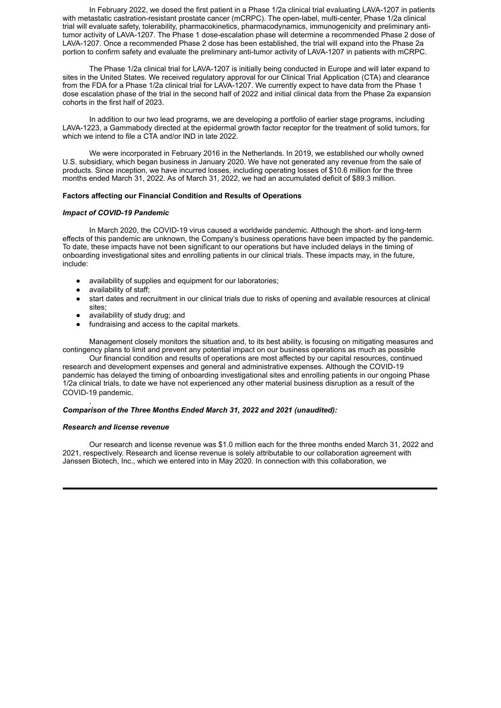In February 2022, we dosed the first patient in a Phase 1/2a clinical trial evaluating LAVA-1207 in patients with metastatic castration-resistant prostate cancer (mCRPC). The open-label, multi-center, Phase 1/2a clinical trial will evaluate safety, tolerability, pharmacokinetics, pharmacodynamics, immunogenicity and preliminary antitumor activity of LAVA-1207. The Phase 1 dose-escalation phase will determine a recommended Phase 2 dose of LAVA-1207. Once a recommended Phase 2 dose has been established, the trial will expand into the Phase 2a portion to confirm safety and evaluate the preliminary anti-tumor activity of LAVA-1207 in patients with mCRPC.

The Phase 1/2a clinical trial for LAVA-1207 is initially being conducted in Europe and will later expand to sites in the United States. We received regulatory approval for our Clinical Trial Application (CTA) and clearance from the FDA for a Phase 1/2a clinical trial for LAVA-1207. We currently expect to have data from the Phase 1 dose escalation phase of the trial in the second half of 2022 and initial clinical data from the Phase 2a expansion cohorts in the first half of 2023.

In addition to our two lead programs, we are developing a portfolio of earlier stage programs, including LAVA-1223, a Gammabody directed at the epidermal growth factor receptor for the treatment of solid tumors, for which we intend to file a CTA and/or IND in late 2022.

We were incorporated in February 2016 in the Netherlands. In 2019, we established our wholly owned U.S. subsidiary, which began business in January 2020. We have not generated any revenue from the sale of products. Since inception, we have incurred losses, including operating losses of \$10.6 million for the three months ended March 31, 2022. As of March 31, 2022, we had an accumulated deficit of \$89.3 million.

#### **Factors affecting our Financial Condition and Results of Operations**

#### *Impact of COVID-19 Pandemic*

In March 2020, the COVID-19 virus caused a worldwide pandemic. Although the short- and long-term effects of this pandemic are unknown, the Company's business operations have been impacted by the pandemic. To date, these impacts have not been significant to our operations but have included delays in the timing of onboarding investigational sites and enrolling patients in our clinical trials. These impacts may, in the future, include:

- availability of supplies and equipment for our laboratories;
- $a$ vailability of staff;
- start dates and recruitment in our clinical trials due to risks of opening and available resources at clinical sites;
- availability of study drug; and
- fundraising and access to the capital markets.

Management closely monitors the situation and, to its best ability, is focusing on mitigating measures and contingency plans to limit and prevent any potential impact on our business operations as much as possible

Our financial condition and results of operations are most affected by our capital resources, continued research and development expenses and general and administrative expenses. Although the COVID-19 pandemic has delayed the timing of onboarding investigational sites and enrolling patients in our ongoing Phase 1/2a clinical trials, to date we have not experienced any other material business disruption as a result of the COVID-19 pandemic.

#### *Comparison of the Three Months Ended March 31, 2022 and 2021 (unaudited):*

#### *Research and license revenue*

.

Our research and license revenue was \$1.0 million each for the three months ended March 31, 2022 and 2021, respectively. Research and license revenue is solely attributable to our collaboration agreement with Janssen Biotech, Inc., which we entered into in May 2020. In connection with this collaboration, we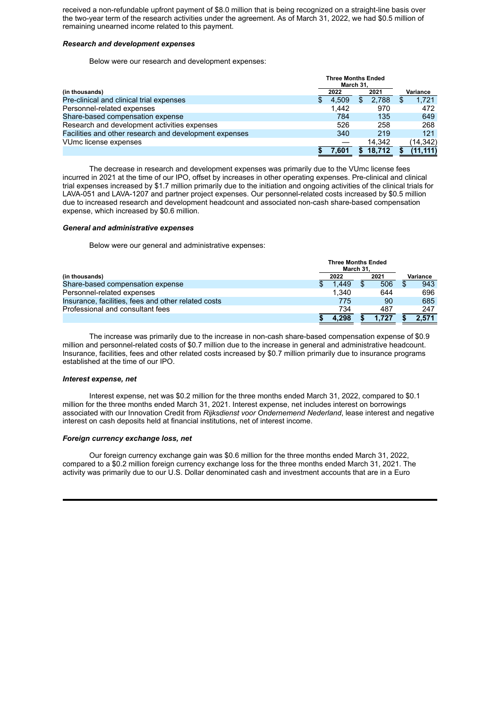received a non-refundable upfront payment of \$8.0 million that is being recognized on a straight-line basis over the two-year term of the research activities under the agreement. As of March 31, 2022, we had \$0.5 million of remaining unearned income related to this payment.

#### *Research and development expenses*

Below were our research and development expenses:

|                                                        | <b>Three Months Ended</b><br>March 31. |       |    |        |  |           |
|--------------------------------------------------------|----------------------------------------|-------|----|--------|--|-----------|
| (in thousands)                                         |                                        | 2022  |    | 2021   |  | Variance  |
| Pre-clinical and clinical trial expenses               | Ŧ.                                     | 4.509 | Ъ. | 2.788  |  | 1,721     |
| Personnel-related expenses                             |                                        | 1.442 |    | 970    |  | 472       |
| Share-based compensation expense                       |                                        | 784   |    | 135    |  | 649       |
| Research and development activities expenses           |                                        | 526   |    | 258    |  | 268       |
| Facilities and other research and development expenses |                                        | 340   |    | 219    |  | 121       |
| VUmc license expenses                                  |                                        |       |    | 14.342 |  | (14, 342) |
|                                                        |                                        | 7.601 |    | 18.712 |  | (11.111)  |

The decrease in research and development expenses was primarily due to the VUmc license fees incurred in 2021 at the time of our IPO, offset by increases in other operating expenses. Pre-clinical and clinical trial expenses increased by \$1.7 million primarily due to the initiation and ongoing activities of the clinical trials for LAVA-051 and LAVA-1207 and partner project expenses. Our personnel-related costs increased by \$0.5 million due to increased research and development headcount and associated non-cash share-based compensation expense, which increased by \$0.6 million.

#### *General and administrative expenses*

Below were our general and administrative expenses:

|                                                     |  | <b>Three Months Ended</b><br>March 31. |  |       |  |          |  |  |
|-----------------------------------------------------|--|----------------------------------------|--|-------|--|----------|--|--|
| (in thousands)                                      |  | 2022                                   |  | 2021  |  | Variance |  |  |
| Share-based compensation expense                    |  | 1.449                                  |  | 506   |  | 943      |  |  |
| Personnel-related expenses                          |  | 1.340                                  |  | 644   |  | 696      |  |  |
| Insurance, facilities, fees and other related costs |  | 775                                    |  | 90    |  | 685      |  |  |
| Professional and consultant fees                    |  | 734                                    |  | 487   |  | 247      |  |  |
|                                                     |  | 4.298                                  |  | 1.727 |  | 2.571    |  |  |

The increase was primarily due to the increase in non-cash share-based compensation expense of \$0.9 million and personnel-related costs of \$0.7 million due to the increase in general and administrative headcount. Insurance, facilities, fees and other related costs increased by \$0.7 million primarily due to insurance programs established at the time of our IPO.

#### *Interest expense, net*

Interest expense, net was \$0.2 million for the three months ended March 31, 2022, compared to \$0.1 million for the three months ended March 31, 2021. Interest expense, net includes interest on borrowings associated with our Innovation Credit from *Rijksdienst voor Ondernemend Nederland*, lease interest and negative interest on cash deposits held at financial institutions, net of interest income.

#### *Foreign currency exchange loss, net*

Our foreign currency exchange gain was \$0.6 million for the three months ended March 31, 2022, compared to a \$0.2 million foreign currency exchange loss for the three months ended March 31, 2021. The activity was primarily due to our U.S. Dollar denominated cash and investment accounts that are in a Euro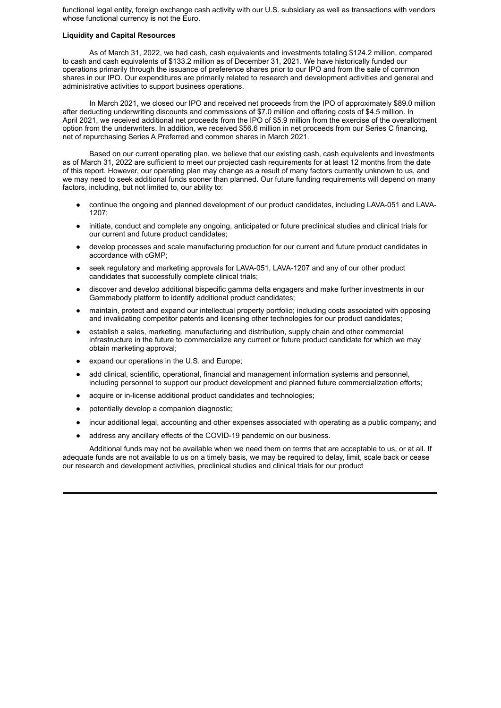functional legal entity, foreign exchange cash activity with our U.S. subsidiary as well as transactions with vendors whose functional currency is not the Euro.

#### **Liquidity and Capital Resources**

As of March 31, 2022, we had cash, cash equivalents and investments totaling \$124.2 million, compared to cash and cash equivalents of \$133.2 million as of December 31, 2021. We have historically funded our operations primarily through the issuance of preference shares prior to our IPO and from the sale of common shares in our IPO. Our expenditures are primarily related to research and development activities and general and administrative activities to support business operations.

In March 2021, we closed our IPO and received net proceeds from the IPO of approximately \$89.0 million after deducting underwriting discounts and commissions of \$7.0 million and offering costs of \$4.5 million. In April 2021, we received additional net proceeds from the IPO of \$5.9 million from the exercise of the overallotment option from the underwriters. In addition, we received \$56.6 million in net proceeds from our Series C financing, net of repurchasing Series A Preferred and common shares in March 2021.

Based on our current operating plan, we believe that our existing cash, cash equivalents and investments as of March 31, 2022 are sufficient to meet our projected cash requirements for at least 12 months from the date of this report. However, our operating plan may change as a result of many factors currently unknown to us, and we may need to seek additional funds sooner than planned. Our future funding requirements will depend on many factors, including, but not limited to, our ability to:

- continue the ongoing and planned development of our product candidates, including LAVA-051 and LAVA-1207;
- initiate, conduct and complete any ongoing, anticipated or future preclinical studies and clinical trials for our current and future product candidates;
- develop processes and scale manufacturing production for our current and future product candidates in accordance with cGMP;
- seek regulatory and marketing approvals for LAVA-051, LAVA-1207 and any of our other product candidates that successfully complete clinical trials;
- discover and develop additional bispecific gamma delta engagers and make further investments in our Gammabody platform to identify additional product candidates;
- maintain, protect and expand our intellectual property portfolio; including costs associated with opposing and invalidating competitor patents and licensing other technologies for our product candidates;
- establish a sales, marketing, manufacturing and distribution, supply chain and other commercial infrastructure in the future to commercialize any current or future product candidate for which we may obtain marketing approval;
- expand our operations in the U.S. and Europe;
- add clinical, scientific, operational, financial and management information systems and personnel, including personnel to support our product development and planned future commercialization efforts;
- acquire or in-license additional product candidates and technologies;
- potentially develop a companion diagnostic;
- incur additional legal, accounting and other expenses associated with operating as a public company; and
- address any ancillary effects of the COVID-19 pandemic on our business.

Additional funds may not be available when we need them on terms that are acceptable to us, or at all. If adequate funds are not available to us on a timely basis, we may be required to delay, limit, scale back or cease our research and development activities, preclinical studies and clinical trials for our product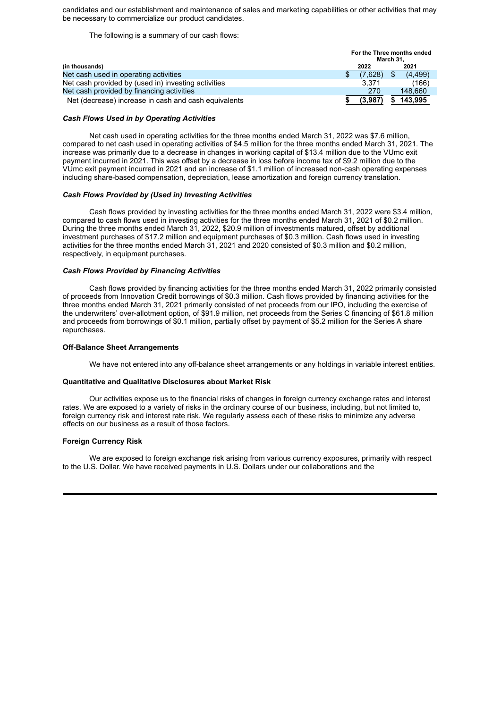candidates and our establishment and maintenance of sales and marketing capabilities or other activities that may be necessary to commercialize our product candidates.

**For the Three months ended**

The following is a summary of our cash flows:

|                                                      | For the Three months enged<br>March 31. |  |         |
|------------------------------------------------------|-----------------------------------------|--|---------|
| (in thousands)                                       | 2022                                    |  | 2021    |
| Net cash used in operating activities                | (7.628)                                 |  | (4.499) |
| Net cash provided by (used in) investing activities  | 3.371                                   |  | (166)   |
| Net cash provided by financing activities            | 270                                     |  | 148.660 |
| Net (decrease) increase in cash and cash equivalents | (3.987)                                 |  | 143.995 |

#### *Cash Flows Used in by Operating Activities*

Net cash used in operating activities for the three months ended March 31, 2022 was \$7.6 million, compared to net cash used in operating activities of \$4.5 million for the three months ended March 31, 2021. The increase was primarily due to a decrease in changes in working capital of \$13.4 million due to the VUmc exit payment incurred in 2021. This was offset by a decrease in loss before income tax of \$9.2 million due to the VUmc exit payment incurred in 2021 and an increase of \$1.1 million of increased non-cash operating expenses including share-based compensation, depreciation, lease amortization and foreign currency translation.

#### *Cash Flows Provided by (Used in) Investing Activities*

Cash flows provided by investing activities for the three months ended March 31, 2022 were \$3.4 million, compared to cash flows used in investing activities for the three months ended March 31, 2021 of \$0.2 million. During the three months ended March 31, 2022, \$20.9 million of investments matured, offset by additional investment purchases of \$17.2 million and equipment purchases of \$0.3 million. Cash flows used in investing activities for the three months ended March 31, 2021 and 2020 consisted of \$0.3 million and \$0.2 million, respectively, in equipment purchases.

#### *Cash Flows Provided by Financing Activities*

Cash flows provided by financing activities for the three months ended March 31, 2022 primarily consisted of proceeds from Innovation Credit borrowings of \$0.3 million. Cash flows provided by financing activities for the three months ended March 31, 2021 primarily consisted of net proceeds from our IPO, including the exercise of the underwriters' over-allotment option, of \$91.9 million, net proceeds from the Series C financing of \$61.8 million and proceeds from borrowings of \$0.1 million, partially offset by payment of \$5.2 million for the Series A share repurchases.

#### **Off-Balance Sheet Arrangements**

We have not entered into any off-balance sheet arrangements or any holdings in variable interest entities.

#### **Quantitative and Qualitative Disclosures about Market Risk**

Our activities expose us to the financial risks of changes in foreign currency exchange rates and interest rates. We are exposed to a variety of risks in the ordinary course of our business, including, but not limited to, foreign currency risk and interest rate risk. We regularly assess each of these risks to minimize any adverse effects on our business as a result of those factors.

#### **Foreign Currency Risk**

We are exposed to foreign exchange risk arising from various currency exposures, primarily with respect to the U.S. Dollar. We have received payments in U.S. Dollars under our collaborations and the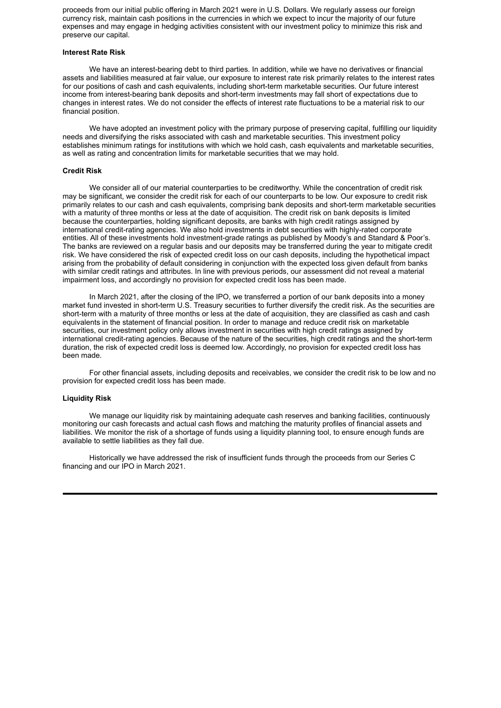proceeds from our initial public offering in March 2021 were in U.S. Dollars. We regularly assess our foreign currency risk, maintain cash positions in the currencies in which we expect to incur the majority of our future expenses and may engage in hedging activities consistent with our investment policy to minimize this risk and preserve our capital.

#### **Interest Rate Risk**

We have an interest-bearing debt to third parties. In addition, while we have no derivatives or financial assets and liabilities measured at fair value, our exposure to interest rate risk primarily relates to the interest rates for our positions of cash and cash equivalents, including short-term marketable securities. Our future interest income from interest-bearing bank deposits and short-term investments may fall short of expectations due to changes in interest rates. We do not consider the effects of interest rate fluctuations to be a material risk to our financial position.

We have adopted an investment policy with the primary purpose of preserving capital, fulfilling our liquidity needs and diversifying the risks associated with cash and marketable securities. This investment policy establishes minimum ratings for institutions with which we hold cash, cash equivalents and marketable securities, as well as rating and concentration limits for marketable securities that we may hold.

#### **Credit Risk**

We consider all of our material counterparties to be creditworthy. While the concentration of credit risk may be significant, we consider the credit risk for each of our counterparts to be low. Our exposure to credit risk primarily relates to our cash and cash equivalents, comprising bank deposits and short-term marketable securities with a maturity of three months or less at the date of acquisition. The credit risk on bank deposits is limited because the counterparties, holding significant deposits, are banks with high credit ratings assigned by international credit-rating agencies. We also hold investments in debt securities with highly-rated corporate entities. All of these investments hold investment-grade ratings as published by Moody's and Standard & Poor's. The banks are reviewed on a regular basis and our deposits may be transferred during the year to mitigate credit risk. We have considered the risk of expected credit loss on our cash deposits, including the hypothetical impact arising from the probability of default considering in conjunction with the expected loss given default from banks with similar credit ratings and attributes. In line with previous periods, our assessment did not reveal a material impairment loss, and accordingly no provision for expected credit loss has been made.

In March 2021, after the closing of the IPO, we transferred a portion of our bank deposits into a money market fund invested in short-term U.S. Treasury securities to further diversify the credit risk. As the securities are short-term with a maturity of three months or less at the date of acquisition, they are classified as cash and cash equivalents in the statement of financial position. In order to manage and reduce credit risk on marketable securities, our investment policy only allows investment in securities with high credit ratings assigned by international credit-rating agencies. Because of the nature of the securities, high credit ratings and the short-term duration, the risk of expected credit loss is deemed low. Accordingly, no provision for expected credit loss has been made.

For other financial assets, including deposits and receivables, we consider the credit risk to be low and no provision for expected credit loss has been made.

#### **Liquidity Risk**

We manage our liquidity risk by maintaining adequate cash reserves and banking facilities, continuously monitoring our cash forecasts and actual cash flows and matching the maturity profiles of financial assets and liabilities. We monitor the risk of a shortage of funds using a liquidity planning tool, to ensure enough funds are available to settle liabilities as they fall due.

Historically we have addressed the risk of insufficient funds through the proceeds from our Series C financing and our IPO in March 2021.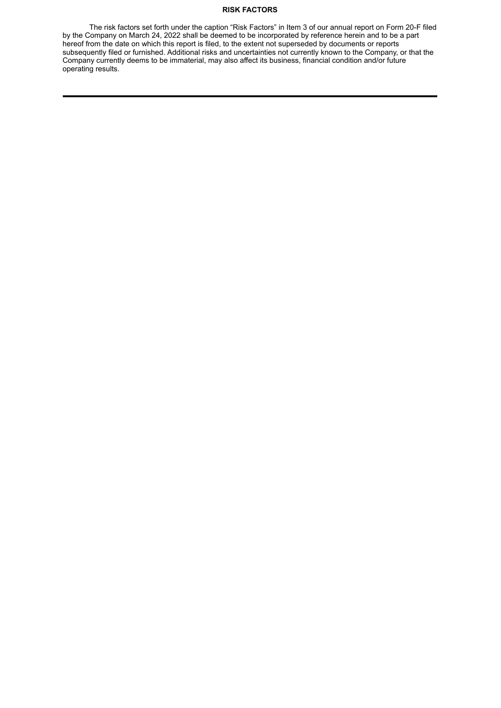#### **RISK FACTORS**

The risk factors set forth under the caption "Risk Factors" in Item 3 of our annual report on Form 20-F filed by the Company on March 24, 2022 shall be deemed to be incorporated by reference herein and to be a part hereof from the date on which this report is filed, to the extent not superseded by documents or reports subsequently filed or furnished. Additional risks and uncertainties not currently known to the Company, or that the Company currently deems to be immaterial, may also affect its business, financial condition and/or future operating results.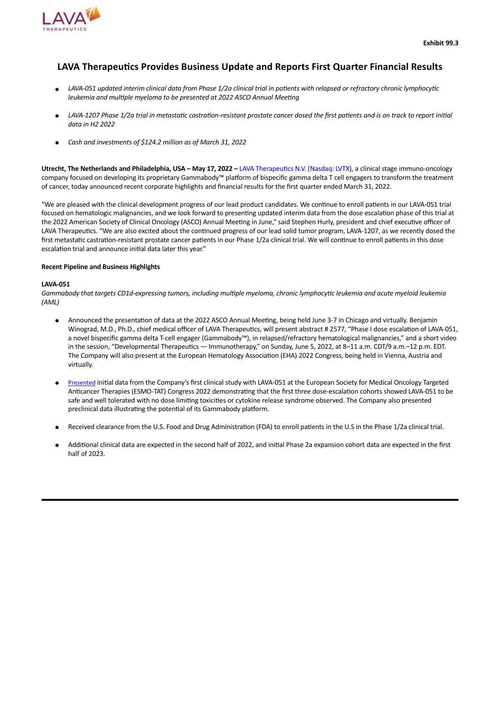<span id="page-24-0"></span>

### **LAVA Therapeutics Provides Business Update and Reports First Quarter Financial Results**

- LAVA-051 updated interim clinical data from Phase 1/2a clinical trial in patients with relapsed or refractory chronic lymphocytic *leukemia and multiple myeloma to be presented at 2022 ASCO Annual Meeting*
- LAVA-1207 Phase 1/2a trial in metastatic castration-resistant prostate cancer dosed the first patients and is on track to report initial *data in H2 2022*
- *Cash and investments of \$124.2 million as of March 31, 2022*

**Utrecht, The Netherlands and Philadelphia, USA – May 17, 2022 –** LAVA Therapeutics N.V. (Nasdaq: LVTX), a clinical stage immuno-oncology company focused on developing its proprietary Gammabody™ platform of bispecific gamma delta T cell engagers to transform the treatment of cancer, today announced recent corporate highlights and financial results for the first quarter ended March 31, 2022.

"We are pleased with the clinical development progress of our lead product candidates. We continue to enroll patients in our LAVA-051 trial focused on hematologic malignancies, and we look forward to presenting updated interim data from the dose escalation phase of this trial at the 2022 American Society of Clinical Oncology (ASCO) Annual Meeting in June," said Stephen Hurly, president and chief executive officer of LAVA Therapeutics. "We are also excited about the continued progress of our lead solid tumor program, LAVA-1207, as we recently dosed the first metastatic castration-resistant prostate cancer patients in our Phase 1/2a clinical trial. We will continue to enroll patients in this dose escalation trial and announce initial data later this year."

#### **Recent Pipeline and Business Highlights**

#### **LAVA-051**

Gammabody that targets CD1d-expressing tumors, including multiple myeloma, chronic lymphocytic leukemia and acute myeloid leukemia *(AML)*

- Announced the presentation of data at the 2022 ASCO Annual Meeting, being held June 3-7 in Chicago and virtually. Benjamin Winograd, M.D., Ph.D., chief medical officer of LAVA Therapeutics, will present abstract # 2577, "Phase I dose escalation of LAVA-051, a novel bispecific gamma delta T-cell engager (Gammabody™), in relapsed/refractory hematological malignancies," and a short video in the session, "Developmental Therapeutics — Immunotherapy," on Sunday, June 5, 2022, at 8–11 a.m. CDT/9 a.m.–12 p.m. EDT. The Company will also present at the European Hematology Association (EHA) 2022 Congress, being held in Vienna, Austria and virtually.
- Presented initial data from the Company's first clinical study with LAVA-051 at the European Society for Medical Oncology Targeted Anticancer Therapies (ESMO-TAT) Congress 2022 demonstrating that the first three dose-escalation cohorts showed LAVA-051 to be safe and well tolerated with no dose limiting toxicities or cytokine release syndrome observed. The Company also presented preclinical data illustrating the potential of its Gammabody platform.
- Received clearance from the U.S. Food and Drug Administration (FDA) to enroll patients in the U.S in the Phase 1/2a clinical trial.
- Additional clinical data are expected in the second half of 2022, and initial Phase 2a expansion cohort data are expected in the first half of 2023.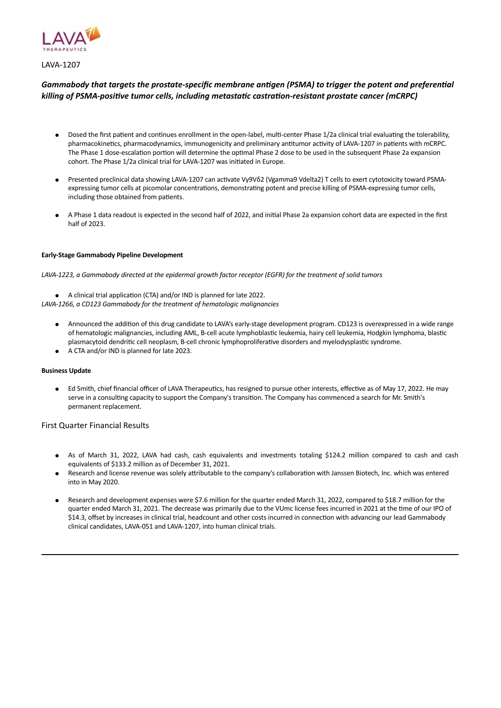

LAVA-1207

#### *Gammabody that targets the prostate-specific membrane antigen (PSMA) to trigger the potent and preferential killing of PSMA-positive tumor cells, including metastatic castration-resistant prostate cancer (mCRPC)*

- Dosed the first patient and continues enrollment in the open-label, multi-center Phase 1/2a clinical trial evaluating the tolerability, pharmacokinetics, pharmacodynamics, immunogenicity and preliminary antitumor activity of LAVA-1207 in patients with mCRPC. The Phase 1 dose-escalation portion will determine the optimal Phase 2 dose to be used in the subsequent Phase 2a expansion cohort. The Phase 1/2a clinical trial for LAVA-1207 was initiated in Europe.
- Presented preclinical data showing LAVA-1207 can activate Vγ9Vδ2 (Vgamma9 Vdelta2) T cells to exert cytotoxicity toward PSMAexpressing tumor cells at picomolar concentrations, demonstrating potent and precise killing of PSMA-expressing tumor cells, including those obtained from patients.
- A Phase 1 data readout is expected in the second half of 2022, and initial Phase 2a expansion cohort data are expected in the first half of 2023.

#### **Early-Stage Gammabody Pipeline Development**

LAVA-1223, a Gammabody directed at the epidermal growth factor receptor (EGFR) for the treatment of solid tumors

● A clinical trial application (CTA) and/or IND is planned for late 2022.

- *LAVA-1266, a CD123 Gammabody for the treatment of hematologic malignancies*
	- Announced the addition of this drug candidate to LAVA's early-stage development program. CD123 is overexpressed in a wide range of hematologic malignancies, including AML, B-cell acute lymphoblastic leukemia, hairy cell leukemia, Hodgkin lymphoma, blastic plasmacytoid dendritic cell neoplasm, B-cell chronic lymphoproliferative disorders and myelodysplastic syndrome.
	- A CTA and/or IND is planned for late 2023.

#### **Business Update**

● Ed Smith, chief financial officer of LAVA Therapeutics, has resigned to pursue other interests, effective as of May 17, 2022. He may serve in a consulting capacity to support the Company's transition. The Company has commenced a search for Mr. Smith's permanent replacement.

First Quarter Financial Results

- As of March 31, 2022, LAVA had cash, cash equivalents and investments totaling \$124.2 million compared to cash and cash equivalents of \$133.2 million as of December 31, 2021.
- Research and license revenue was solely attributable to the company's collaboration with Janssen Biotech, Inc. which was entered into in May 2020.
- Research and development expenses were \$7.6 million for the quarter ended March 31, 2022, compared to \$18.7 million for the quarter ended March 31, 2021. The decrease was primarily due to the VUmc license fees incurred in 2021 at the time of our IPO of \$14.3, offset by increases in clinical trial, headcount and other costs incurred in connection with advancing our lead Gammabody clinical candidates, LAVA-051 and LAVA-1207, into human clinical trials.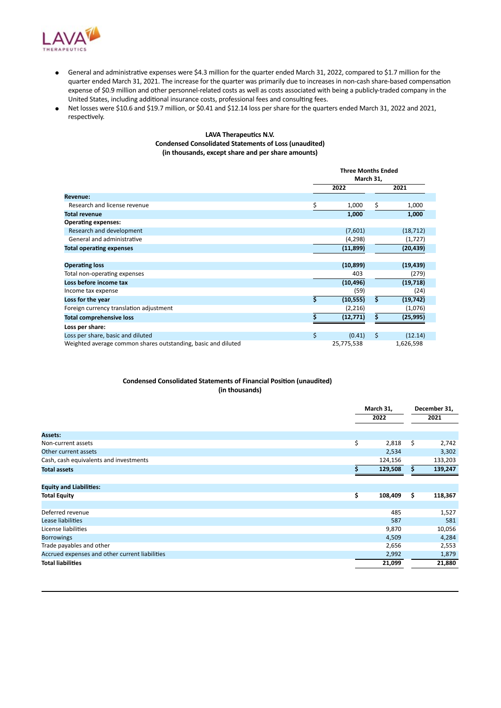

- General and administrative expenses were \$4.3 million for the quarter ended March 31, 2022, compared to \$1.7 million for the quarter ended March 31, 2021. The increase for the quarter was primarily due to increases in non-cash share-based compensation expense of \$0.9 million and other personnel-related costs as well as costs associated with being a publicly-traded company in the United States, including additional insurance costs, professional fees and consulting fees.
- Net losses were \$10.6 and \$19.7 million, or \$0.41 and \$12.14 loss per share for the quarters ended March 31, 2022 and 2021, respectively.

#### **LAVA Therapeutics N.V. Condensed Consolidated Statements of Loss (unaudited) (in thousands, except share and per share amounts)**

|                                                               |           | Three Months Ended |         |           |  |
|---------------------------------------------------------------|-----------|--------------------|---------|-----------|--|
|                                                               | March 31, |                    |         |           |  |
|                                                               |           | 2022               | 2021    |           |  |
| <b>Revenue:</b>                                               |           |                    |         |           |  |
| Research and license revenue                                  | \$        | 1,000              | \$      | 1,000     |  |
| <b>Total revenue</b>                                          |           | 1,000              |         | 1,000     |  |
| <b>Operating expenses:</b>                                    |           |                    |         |           |  |
| Research and development                                      |           | (7,601)            |         | (18, 712) |  |
| General and administrative                                    |           | (4, 298)           |         | (1, 727)  |  |
| <b>Total operating expenses</b>                               |           | (11, 899)          |         | (20, 439) |  |
|                                                               |           |                    |         |           |  |
| <b>Operating loss</b>                                         |           | (10, 899)          |         | (19, 439) |  |
| Total non-operating expenses                                  |           | 403                |         | (279)     |  |
| Loss before income tax                                        |           | (10, 496)          |         | (19,718)  |  |
| Income tax expense                                            |           | (59)               |         | (24)      |  |
| Loss for the year                                             | \$        | (10, 555)          | Ś       | (19, 742) |  |
| Foreign currency translation adjustment                       |           | (2,216)            |         | (1,076)   |  |
| <b>Total comprehensive loss</b>                               |           | (12, 771)          | Ś.      | (25, 995) |  |
| Loss per share:                                               |           |                    |         |           |  |
| Loss per share, basic and diluted                             | \$        | (0.41)             | $\zeta$ | (12.14)   |  |
| Weighted average common shares outstanding, basic and diluted |           | 25,775,538         |         | 1,626,598 |  |

#### **Condensed Consolidated Statements of Financial Position (unaudited) (in thousands)**

|                                                |    | March 31,<br>2022 |     | December 31, |  |  |
|------------------------------------------------|----|-------------------|-----|--------------|--|--|
|                                                |    |                   |     | 2021         |  |  |
|                                                |    |                   |     |              |  |  |
| <b>Assets:</b>                                 |    |                   |     |              |  |  |
| Non-current assets                             | \$ | 2,818             | \$. | 2,742        |  |  |
| Other current assets                           |    | 2,534             |     | 3,302        |  |  |
| Cash, cash equivalents and investments         |    | 124,156           |     | 133,203      |  |  |
| <b>Total assets</b>                            | Ś  | 129,508           | s   | 139,247      |  |  |
|                                                |    |                   |     |              |  |  |
| <b>Equity and Liabilities:</b>                 |    |                   |     |              |  |  |
| <b>Total Equity</b>                            | \$ | 108,409           | \$  | 118,367      |  |  |
|                                                |    |                   |     |              |  |  |
| Deferred revenue                               |    | 485               |     | 1,527        |  |  |
| Lease liabilities                              |    | 587               |     | 581          |  |  |
| License liabilities                            |    | 9,870             |     | 10,056       |  |  |
| <b>Borrowings</b>                              |    | 4,509             |     | 4,284        |  |  |
| Trade payables and other                       |    | 2,656             |     | 2,553        |  |  |
| Accrued expenses and other current liabilities |    | 2,992             |     | 1,879        |  |  |
| <b>Total liabilities</b>                       |    | 21,099            |     | 21,880       |  |  |
|                                                |    |                   |     |              |  |  |